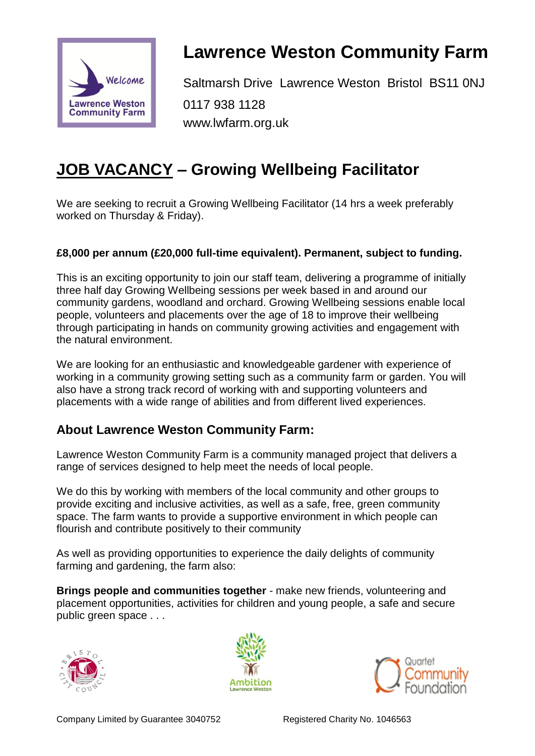

# **Lawrence Weston Community Farm**

Saltmarsh Drive Lawrence Weston Bristol BS11 0NJ 0117 938 1128 www.lwfarm.org.uk

# **JOB VACANCY – Growing Wellbeing Facilitator**

We are seeking to recruit a Growing Wellbeing Facilitator (14 hrs a week preferably worked on Thursday & Friday).

#### **£8,000 per annum (£20,000 full-time equivalent). Permanent, subject to funding.**

This is an exciting opportunity to join our staff team, delivering a programme of initially three half day Growing Wellbeing sessions per week based in and around our community gardens, woodland and orchard. Growing Wellbeing sessions enable local people, volunteers and placements over the age of 18 to improve their wellbeing through participating in hands on community growing activities and engagement with the natural environment.

We are looking for an enthusiastic and knowledgeable gardener with experience of working in a community growing setting such as a community farm or garden. You will also have a strong track record of working with and supporting volunteers and placements with a wide range of abilities and from different lived experiences.

## **About Lawrence Weston Community Farm:**

Lawrence Weston Community Farm is a community managed project that delivers a range of services designed to help meet the needs of local people.

We do this by working with members of the local community and other groups to provide exciting and inclusive activities, as well as a safe, free, green community space. The farm wants to provide a supportive environment in which people can flourish and contribute positively to their community

As well as providing opportunities to experience the daily delights of community farming and gardening, the farm also:

**Brings people and communities together** - make new friends, volunteering and placement opportunities, activities for children and young people, a safe and secure public green space . . .